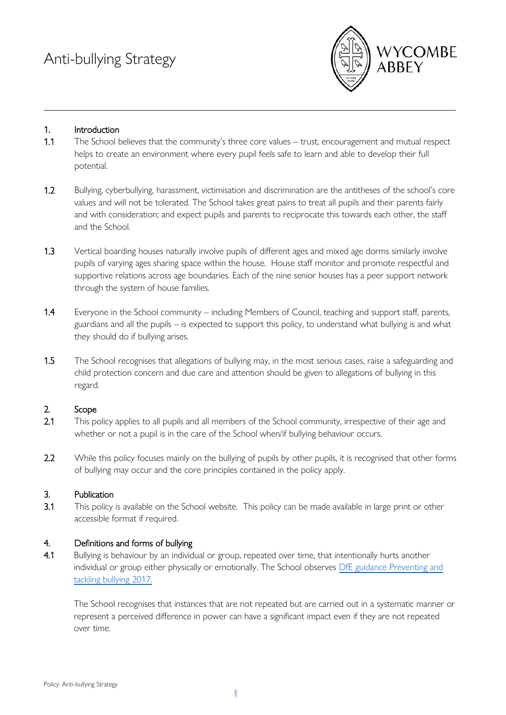

## 1. Introduction

- 1.1 The School believes that the community's three core values trust, encouragement and mutual respect helps to create an environment where every pupil feels safe to learn and able to develop their full potential.
- 1.2 Bullying, cyberbullying, harassment, victimisation and discrimination are the antitheses of the school's core values and will not be tolerated. The School takes great pains to treat all pupils and their parents fairly and with consideration; and expect pupils and parents to reciprocate this towards each other, the staff and the School.
- 1.3 Vertical boarding houses naturally involve pupils of different ages and mixed age dorms similarly involve pupils of varying ages sharing space within the house. House staff monitor and promote respectful and supportive relations across age boundaries. Each of the nine senior houses has a peer support network through the system of house families.
- 1.4 Everyone in the School community including Members of Council, teaching and support staff, parents, guardians and all the pupils – is expected to support this policy, to understand what bullying is and what they should do if bullying arises.
- 1.5 The School recognises that allegations of bullying may, in the most serious cases, raise a safeguarding and child protection concern and due care and attention should be given to allegations of bullying in this regard.

## 2. Scope

- 2.1 This policy applies to all pupils and all members of the School community, irrespective of their age and whether or not a pupil is in the care of the School when/if bullying behaviour occurs.
- 2.2 While this policy focuses mainly on the bullying of pupils by other pupils, it is recognised that other forms of bullying may occur and the core principles contained in the policy apply.

## 3. Publication

3.1 This policy is available on the School website. This policy can be made available in large print or other accessible format if required.

# 4. Definitions and forms of bullying

4.1 Bullying is behaviour by an individual or group, repeated over time, that intentionally hurts another individual or group either physically or emotionally. The School observes DfE guidance Preventing and [tackling bullying 2017.](https://assets.publishing.service.gov.uk/government/uploads/system/uploads/attachment_data/file/623895/Preventing_and_tackling_bullying_advice.pdf)

The School recognises that instances that are not repeated but are carried out in a systematic manner or represent a perceived difference in power can have a significant impact even if they are not repeated over time.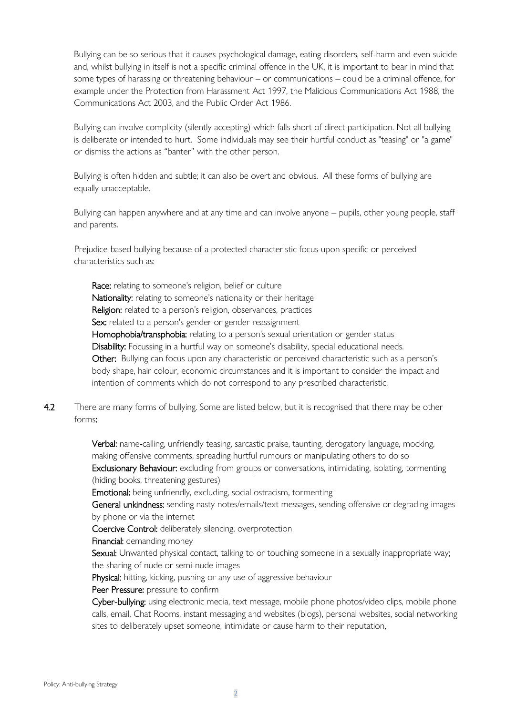Bullying can be so serious that it causes psychological damage, eating disorders, self-harm and even suicide and, whilst bullying in itself is not a specific criminal offence in the UK, it is important to bear in mind that some types of harassing or threatening behaviour – or communications – could be a criminal offence, for example under the Protection from Harassment Act 1997, the Malicious Communications Act 1988, the Communications Act 2003, and the Public Order Act 1986.

Bullying can involve complicity (silently accepting) which falls short of direct participation. Not all bullying is deliberate or intended to hurt. Some individuals may see their hurtful conduct as "teasing" or "a game" or dismiss the actions as "banter" with the other person.

Bullying is often hidden and subtle; it can also be overt and obvious. All these forms of bullying are equally unacceptable.

Bullying can happen anywhere and at any time and can involve anyone – pupils, other young people, staff and parents.

Prejudice-based bullying because of a protected characteristic focus upon specific or perceived characteristics such as:

Race: relating to someone's religion, belief or culture Nationality: relating to someone's nationality or their heritage Religion: related to a person's religion, observances, practices Sex: related to a person's gender or gender reassignment Homophobia/transphobia: relating to a person's sexual orientation or gender status Disability: Focussing in a hurtful way on someone's disability, special educational needs. Other: Bullying can focus upon any characteristic or perceived characteristic such as a person's body shape, hair colour, economic circumstances and it is important to consider the impact and intention of comments which do not correspond to any prescribed characteristic.

4.2 There are many forms of bullying. Some are listed below, but it is recognised that there may be other forms:

> Verbal: name-calling, unfriendly teasing, sarcastic praise, taunting, derogatory language, mocking, making offensive comments, spreading hurtful rumours or manipulating others to do so Exclusionary Behaviour: excluding from groups or conversations, intimidating, isolating, tormenting (hiding books, threatening gestures)

**Emotional:** being unfriendly, excluding, social ostracism, tormenting

General unkindness: sending nasty notes/emails/text messages, sending offensive or degrading images by phone or via the internet

Coercive Control: deliberately silencing, overprotection

Financial: demanding money

Sexual: Unwanted physical contact, talking to or touching someone in a sexually inappropriate way; the sharing of nude or semi-nude images

Physical: hitting, kicking, pushing or any use of aggressive behaviour

Peer Pressure: pressure to confirm

Cyber-bullying: using electronic media, text message, mobile phone photos/video clips, mobile phone calls, email, Chat Rooms, instant messaging and websites (blogs), personal websites, social networking sites to deliberately upset someone, intimidate or cause harm to their reputation.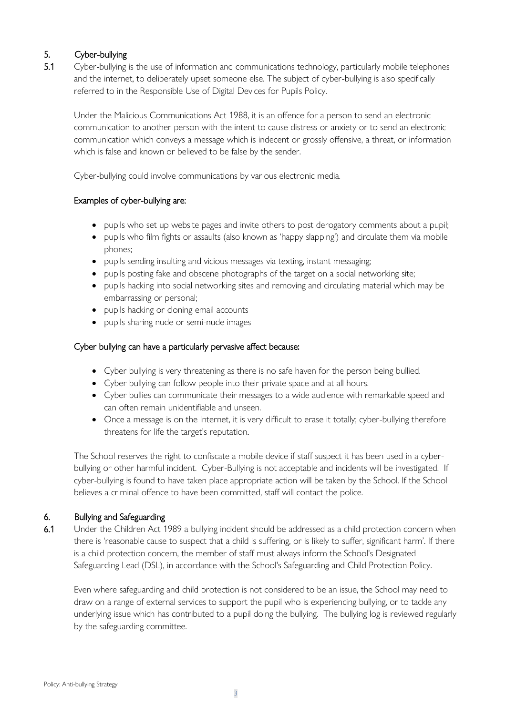# 5. Cyber-bullying

5.1 Cyber-bullying is the use of information and communications technology, particularly mobile telephones and the internet, to deliberately upset someone else. The subject of cyber-bullying is also specifically referred to in the Responsible Use of Digital Devices for Pupils Policy.

Under the Malicious Communications Act 1988, it is an offence for a person to send an electronic communication to another person with the intent to cause distress or anxiety or to send an electronic communication which conveys a message which is indecent or grossly offensive, a threat, or information which is false and known or believed to be false by the sender.

Cyber-bullying could involve communications by various electronic media.

# Examples of cyber-bullying are:

- pupils who set up website pages and invite others to post derogatory comments about a pupil;
- pupils who film fights or assaults (also known as 'happy slapping') and circulate them via mobile phones;
- pupils sending insulting and vicious messages via texting, instant messaging;
- pupils posting fake and obscene photographs of the target on a social networking site;
- pupils hacking into social networking sites and removing and circulating material which may be embarrassing or personal;
- pupils hacking or cloning email accounts
- pupils sharing nude or semi-nude images

## Cyber bullying can have a particularly pervasive affect because:

- Cyber bullying is very threatening as there is no safe haven for the person being bullied.
- Cyber bullying can follow people into their private space and at all hours.
- Cyber bullies can communicate their messages to a wide audience with remarkable speed and can often remain unidentifiable and unseen.
- Once a message is on the Internet, it is very difficult to erase it totally; cyber-bullying therefore threatens for life the target's reputation.

The School reserves the right to confiscate a mobile device if staff suspect it has been used in a cyberbullying or other harmful incident. Cyber-Bullying is not acceptable and incidents will be investigated. If cyber-bullying is found to have taken place appropriate action will be taken by the School. If the School believes a criminal offence to have been committed, staff will contact the police.

# 6. Bullying and Safeguarding

6.1 Under the Children Act 1989 a bullying incident should be addressed as a child protection concern when there is 'reasonable cause to suspect that a child is suffering, or is likely to suffer, significant harm'. If there is a child protection concern, the member of staff must always inform the School's Designated Safeguarding Lead (DSL), in accordance with the School's Safeguarding and Child Protection Policy.

Even where safeguarding and child protection is not considered to be an issue, the School may need to draw on a range of external services to support the pupil who is experiencing bullying, or to tackle any underlying issue which has contributed to a pupil doing the bullying. The bullying log is reviewed regularly by the safeguarding committee.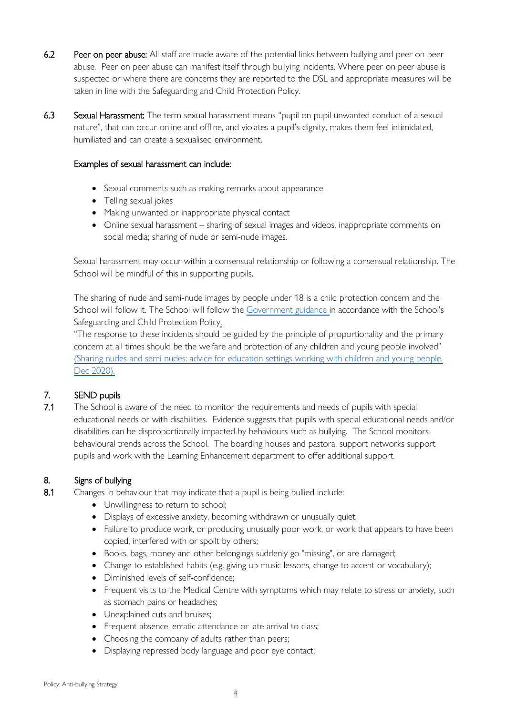- 6.2 Peer on peer abuse: All staff are made aware of the potential links between bullying and peer on peer abuse. Peer on peer abuse can manifest itself through bullying incidents. Where peer on peer abuse is suspected or where there are concerns they are reported to the DSL and appropriate measures will be taken in line with the Safeguarding and Child Protection Policy.
- 6.3 Sexual Harassment: The term sexual harassment means "pupil on pupil unwanted conduct of a sexual nature", that can occur online and offline, and violates a pupil's dignity, makes them feel intimidated, humiliated and can create a sexualised environment.

## Examples of sexual harassment can include:

- Sexual comments such as making remarks about appearance
- Telling sexual jokes
- Making unwanted or inappropriate physical contact
- Online sexual harassment sharing of sexual images and videos, inappropriate comments on social media; sharing of nude or semi-nude images.

Sexual harassment may occur within a consensual relationship or following a consensual relationship. The School will be mindful of this in supporting pupils.

The sharing of nude and semi-nude images by people under 18 is a child protection concern and the School will follow it. The School will follow the [Government guidance](https://www.gov.uk/government/publications/sharing-nudes-and-semi-nudes-advice-for-education-settings-working-with-children-and-young-people/sharing-nudes-and-semi-nudes-advice-for-education-settings-working-with-children-and-young-people) in accordance with the School's Safeguarding and Child Protection Policy.

"The response to these incidents should be guided by the principle of proportionality and the primary concern at all times should be the welfare and protection of any children and young people involved" (Sharing nudes and semi nudes: advice [for education settings working with children and young people,](https://www.gov.uk/government/publications/sharing-nudes-and-semi-nudes-advice-for-education-settings-working-with-children-and-young-people/sharing-nudes-and-semi-nudes-advice-for-education-settings-working-with-children-and-young-people)  [Dec 2020\).](https://www.gov.uk/government/publications/sharing-nudes-and-semi-nudes-advice-for-education-settings-working-with-children-and-young-people/sharing-nudes-and-semi-nudes-advice-for-education-settings-working-with-children-and-young-people)

# 7. SEND pupils

7.1 The School is aware of the need to monitor the requirements and needs of pupils with special educational needs or with disabilities. Evidence suggests that pupils with special educational needs and/or disabilities can be disproportionally impacted by behaviours such as bullying. The School monitors behavioural trends across the School. The boarding houses and pastoral support networks support pupils and work with the Learning Enhancement department to offer additional support.

# 8. Signs of bullying

- 8.1 Changes in behaviour that may indicate that a pupil is being bullied include:
	- Unwillingness to return to school;
	- Displays of excessive anxiety, becoming withdrawn or unusually quiet;
	- Failure to produce work, or producing unusually poor work, or work that appears to have been copied, interfered with or spoilt by others;
	- Books, bags, money and other belongings suddenly go "missing", or are damaged;
	- Change to established habits (e.g. giving up music lessons, change to accent or vocabulary);
	- Diminished levels of self-confidence;
	- Frequent visits to the Medical Centre with symptoms which may relate to stress or anxiety, such as stomach pains or headaches;
	- Unexplained cuts and bruises;
	- Frequent absence, erratic attendance or late arrival to class;
	- Choosing the company of adults rather than peers;
	- Displaying repressed body language and poor eye contact;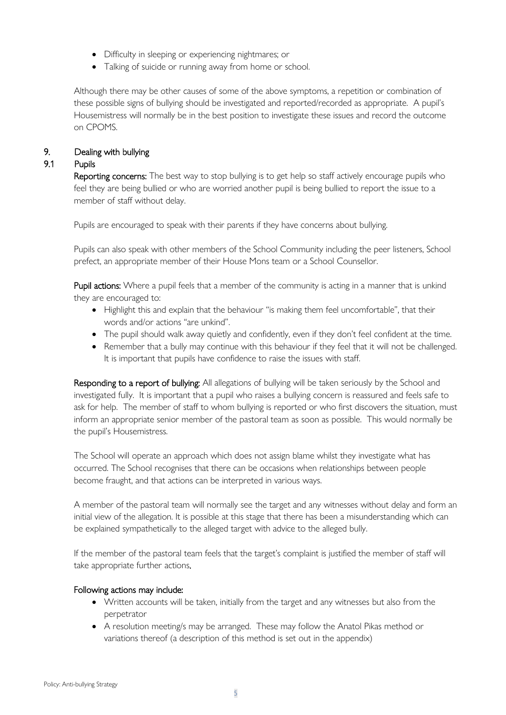- Difficulty in sleeping or experiencing nightmares; or
- Talking of suicide or running away from home or school.

Although there may be other causes of some of the above symptoms, a repetition or combination of these possible signs of bullying should be investigated and reported/recorded as appropriate. A pupil's Housemistress will normally be in the best position to investigate these issues and record the outcome on CPOMS.

## 9. Dealing with bullying

#### 9.1 Pupils

Reporting concerns: The best way to stop bullying is to get help so staff actively encourage pupils who feel they are being bullied or who are worried another pupil is being bullied to report the issue to a member of staff without delay.

Pupils are encouraged to speak with their parents if they have concerns about bullying.

Pupils can also speak with other members of the School Community including the peer listeners, School prefect, an appropriate member of their House Mons team or a School Counsellor.

Pupil actions: Where a pupil feels that a member of the community is acting in a manner that is unkind they are encouraged to:

- Highlight this and explain that the behaviour "is making them feel uncomfortable", that their words and/or actions "are unkind".
- The pupil should walk away quietly and confidently, even if they don't feel confident at the time.
- Remember that a bully may continue with this behaviour if they feel that it will not be challenged. It is important that pupils have confidence to raise the issues with staff.

Responding to a report of bullying: All allegations of bullying will be taken seriously by the School and investigated fully. It is important that a pupil who raises a bullying concern is reassured and feels safe to ask for help. The member of staff to whom bullying is reported or who first discovers the situation, must inform an appropriate senior member of the pastoral team as soon as possible. This would normally be the pupil's Housemistress.

The School will operate an approach which does not assign blame whilst they investigate what has occurred. The School recognises that there can be occasions when relationships between people become fraught, and that actions can be interpreted in various ways.

A member of the pastoral team will normally see the target and any witnesses without delay and form an initial view of the allegation. It is possible at this stage that there has been a misunderstanding which can be explained sympathetically to the alleged target with advice to the alleged bully.

If the member of the pastoral team feels that the target's complaint is justified the member of staff will take appropriate further actions.

## Following actions may include:

- Written accounts will be taken, initially from the target and any witnesses but also from the perpetrator
- A resolution meeting/s may be arranged. These may follow the Anatol Pikas method or variations thereof (a description of this method is set out in the appendix)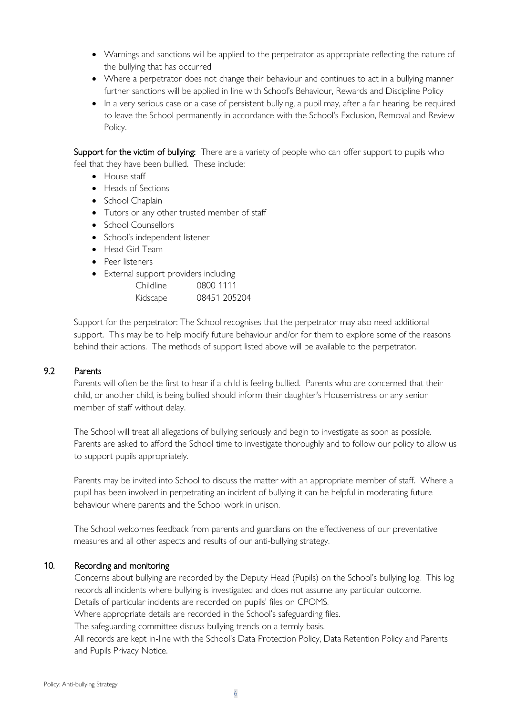- Warnings and sanctions will be applied to the perpetrator as appropriate reflecting the nature of the bullying that has occurred
- Where a perpetrator does not change their behaviour and continues to act in a bullying manner further sanctions will be applied in line with School's Behaviour, Rewards and Discipline Policy
- In a very serious case or a case of persistent bullying, a pupil may, after a fair hearing, be required to leave the School permanently in accordance with the School's Exclusion, Removal and Review Policy.

Support for the victim of bullying: There are a variety of people who can offer support to pupils who feel that they have been bullied. These include:

- House staff
- Heads of Sections
- School Chaplain
- Tutors or any other trusted member of staff
- School Counsellors
- School's independent listener
- Head Girl Team
- Peer listeners
- External support providers including

| Childline | 0800 1111    |
|-----------|--------------|
| Kidscape  | 08451 205204 |

Support for the perpetrator: The School recognises that the perpetrator may also need additional support. This may be to help modify future behaviour and/or for them to explore some of the reasons behind their actions. The methods of support listed above will be available to the perpetrator.

## 9.2 Parents

Parents will often be the first to hear if a child is feeling bullied. Parents who are concerned that their child, or another child, is being bullied should inform their daughter's Housemistress or any senior member of staff without delay.

The School will treat all allegations of bullying seriously and begin to investigate as soon as possible. Parents are asked to afford the School time to investigate thoroughly and to follow our policy to allow us to support pupils appropriately.

Parents may be invited into School to discuss the matter with an appropriate member of staff. Where a pupil has been involved in perpetrating an incident of bullying it can be helpful in moderating future behaviour where parents and the School work in unison.

The School welcomes feedback from parents and guardians on the effectiveness of our preventative measures and all other aspects and results of our anti-bullying strategy.

## 10. Recording and monitoring

Concerns about bullying are recorded by the Deputy Head (Pupils) on the School's bullying log. This log records all incidents where bullying is investigated and does not assume any particular outcome. Details of particular incidents are recorded on pupils' files on CPOMS.

Where appropriate details are recorded in the School's safeguarding files.

The safeguarding committee discuss bullying trends on a termly basis.

All records are kept in-line with the School's Data Protection Policy, Data Retention Policy and Parents and Pupils Privacy Notice.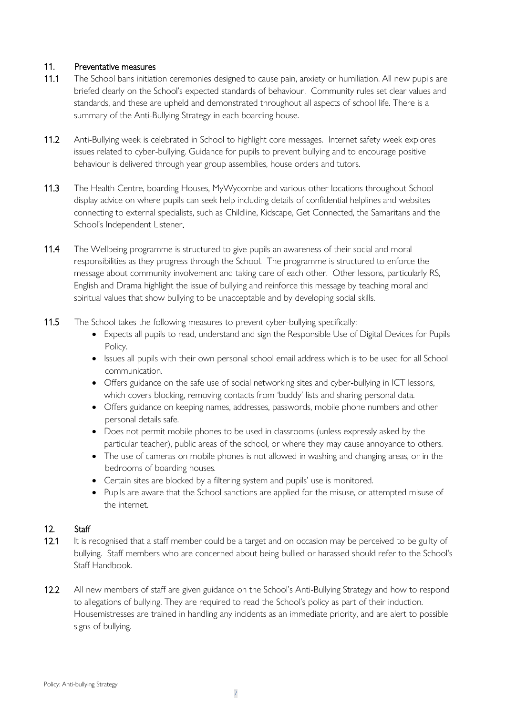## 11. Preventative measures

- 11.1 The School bans initiation ceremonies designed to cause pain, anxiety or humiliation. All new pupils are briefed clearly on the School's expected standards of behaviour. Community rules set clear values and standards, and these are upheld and demonstrated throughout all aspects of school life. There is a summary of the Anti-Bullying Strategy in each boarding house.
- 11.2 Anti-Bullying week is celebrated in School to highlight core messages. Internet safety week explores issues related to cyber-bullying. Guidance for pupils to prevent bullying and to encourage positive behaviour is delivered through year group assemblies, house orders and tutors.
- 11.3 The Health Centre, boarding Houses, MyWycombe and various other locations throughout School display advice on where pupils can seek help including details of confidential helplines and websites connecting to external specialists, such as Childline, Kidscape, Get Connected, the Samaritans and the School's Independent Listener.
- 11.4 The Wellbeing programme is structured to give pupils an awareness of their social and moral responsibilities as they progress through the School. The programme is structured to enforce the message about community involvement and taking care of each other. Other lessons, particularly RS, English and Drama highlight the issue of bullying and reinforce this message by teaching moral and spiritual values that show bullying to be unacceptable and by developing social skills.
- 11.5 The School takes the following measures to prevent cyber-bullying specifically:
	- Expects all pupils to read, understand and sign the Responsible Use of Digital Devices for Pupils Policy.
	- Issues all pupils with their own personal school email address which is to be used for all School communication.
	- Offers guidance on the safe use of social networking sites and cyber-bullying in ICT lessons, which covers blocking, removing contacts from 'buddy' lists and sharing personal data.
	- Offers guidance on keeping names, addresses, passwords, mobile phone numbers and other personal details safe.
	- Does not permit mobile phones to be used in classrooms (unless expressly asked by the particular teacher), public areas of the school, or where they may cause annoyance to others.
	- The use of cameras on mobile phones is not allowed in washing and changing areas, or in the bedrooms of boarding houses.
	- Certain sites are blocked by a filtering system and pupils' use is monitored.
	- Pupils are aware that the School sanctions are applied for the misuse, or attempted misuse of the internet.

## 12. Staff

- 12.1 It is recognised that a staff member could be a target and on occasion may be perceived to be guilty of bullying. Staff members who are concerned about being bullied or harassed should refer to the School's Staff Handbook.
- 12.2 All new members of staff are given guidance on the School's Anti-Bullying Strategy and how to respond to allegations of bullying. They are required to read the School's policy as part of their induction. Housemistresses are trained in handling any incidents as an immediate priority, and are alert to possible signs of bullying.